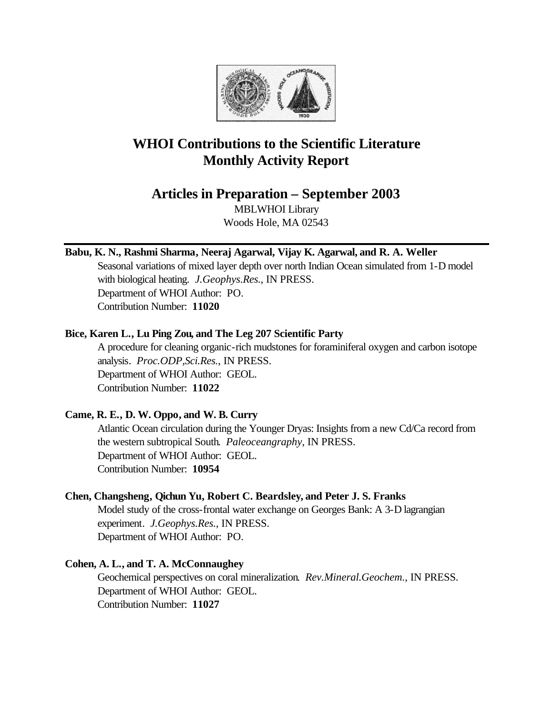

# **WHOI Contributions to the Scientific Literature Monthly Activity Report**

**Articles in Preparation – September 2003**

MBLWHOI Library Woods Hole, MA 02543

**Babu, K. N., Rashmi Sharma, Neeraj Agarwal, Vijay K. Agarwal, and R. A. Weller**

Seasonal variations of mixed layer depth over north Indian Ocean simulated from 1-D model with biological heating. *J.Geophys.Res.*, IN PRESS. Department of WHOI Author: PO. Contribution Number: **11020**

# **Bice, Karen L., Lu Ping Zou, and The Leg 207 Scientific Party**

A procedure for cleaning organic-rich mudstones for foraminiferal oxygen and carbon isotope analysis. *Proc.ODP,Sci.Res.*, IN PRESS. Department of WHOI Author: GEOL. Contribution Number: **11022**

# **Came, R. E., D. W. Oppo, and W. B. Curry**

Atlantic Ocean circulation during the Younger Dryas: Insights from a new Cd/Ca record from the western subtropical South. *Paleoceangraphy*, IN PRESS. Department of WHOI Author: GEOL. Contribution Number: **10954**

# **Chen, Changsheng, Qichun Yu, Robert C. Beardsley, and Peter J. S. Franks**

Model study of the cross-frontal water exchange on Georges Bank: A 3-D lagrangian experiment. *J.Geophys.Res.*, IN PRESS. Department of WHOI Author: PO.

# **Cohen, A. L., and T. A. McConnaughey**

Geochemical perspectives on coral mineralization. *Rev.Mineral.Geochem.*, IN PRESS. Department of WHOI Author: GEOL. Contribution Number: **11027**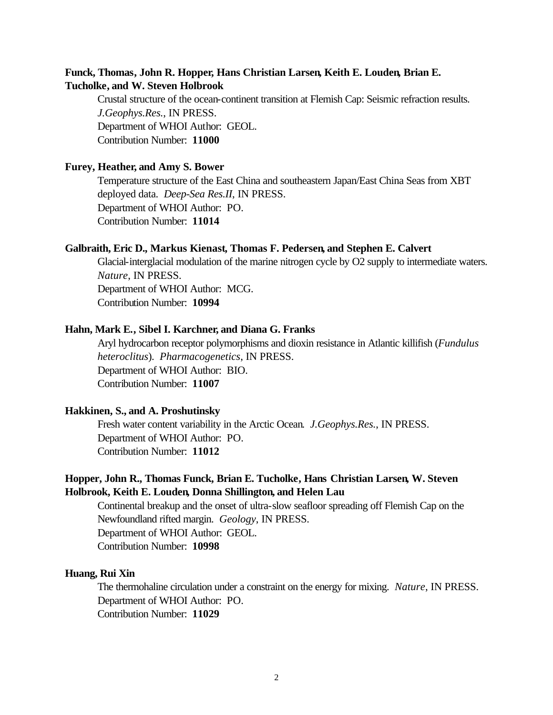## **Funck, Thomas, John R. Hopper, Hans Christian Larsen, Keith E. Louden, Brian E. Tucholke, and W. Steven Holbrook**

Crustal structure of the ocean-continent transition at Flemish Cap: Seismic refraction results. *J.Geophys.Res.*, IN PRESS. Department of WHOI Author: GEOL. Contribution Number: **11000**

#### **Furey, Heather, and Amy S. Bower**

Temperature structure of the East China and southeastern Japan/East China Seas from XBT deployed data. *Deep-Sea Res.II*, IN PRESS. Department of WHOI Author: PO. Contribution Number: **11014**

#### **Galbraith, Eric D., Markus Kienast, Thomas F. Pedersen, and Stephen E. Calvert**

Glacial-interglacial modulation of the marine nitrogen cycle by O2 supply to intermediate waters. *Nature*, IN PRESS. Department of WHOI Author: MCG. Contribution Number: **10994**

#### **Hahn, Mark E., Sibel I. Karchner, and Diana G. Franks**

Aryl hydrocarbon receptor polymorphisms and dioxin resistance in Atlantic killifish (*Fundulus heteroclitus*). *Pharmacogenetics*, IN PRESS. Department of WHOI Author: BIO. Contribution Number: **11007**

#### **Hakkinen, S., and A. Proshutinsky**

Fresh water content variability in the Arctic Ocean. *J.Geophys.Res.*, IN PRESS. Department of WHOI Author: PO. Contribution Number: **11012**

## **Hopper, John R., Thomas Funck, Brian E. Tucholke, Hans Christian Larsen, W. Steven Holbrook, Keith E. Louden, Donna Shillington, and Helen Lau**

Continental breakup and the onset of ultra-slow seafloor spreading off Flemish Cap on the Newfoundland rifted margin. *Geology*, IN PRESS. Department of WHOI Author: GEOL. Contribution Number: **10998**

#### **Huang, Rui Xin**

The thermohaline circulation under a constraint on the energy for mixing. *Nature*, IN PRESS. Department of WHOI Author: PO. Contribution Number: **11029**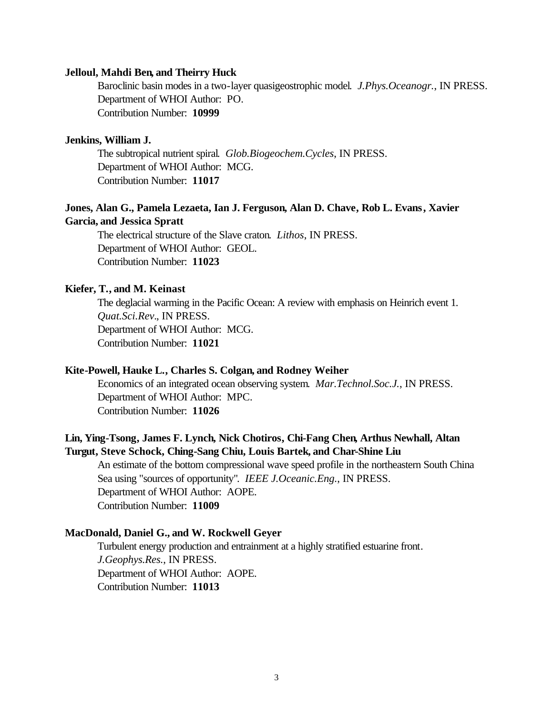#### **Jelloul, Mahdi Ben, and Theirry Huck**

Baroclinic basin modes in a two-layer quasigeostrophic model. *J.Phys.Oceanogr.*, IN PRESS. Department of WHOI Author: PO. Contribution Number: **10999**

#### **Jenkins, William J.**

The subtropical nutrient spiral. *Glob.Biogeochem.Cycles*, IN PRESS. Department of WHOI Author: MCG. Contribution Number: **11017**

## **Jones, Alan G., Pamela Lezaeta, Ian J. Ferguson, Alan D. Chave, Rob L. Evans, Xavier Garcia, and Jessica Spratt**

The electrical structure of the Slave craton. *Lithos*, IN PRESS. Department of WHOI Author: GEOL. Contribution Number: **11023**

#### **Kiefer, T., and M. Keinast**

The deglacial warming in the Pacific Ocean: A review with emphasis on Heinrich event 1. *Quat.Sci.Rev.*, IN PRESS. Department of WHOI Author: MCG. Contribution Number: **11021**

#### **Kite-Powell, Hauke L., Charles S. Colgan, and Rodney Weiher**

Economics of an integrated ocean observing system. *Mar.Technol.Soc.J.*, IN PRESS. Department of WHOI Author: MPC. Contribution Number: **11026**

# **Lin, Ying-Tsong, James F. Lynch, Nick Chotiros, Chi-Fang Chen, Arthus Newhall, Altan Turgut, Steve Schock, Ching-Sang Chiu, Louis Bartek, and Char-Shine Liu**

An estimate of the bottom compressional wave speed profile in the northeastern South China Sea using "sources of opportunity". *IEEE J.Oceanic.Eng.*, IN PRESS. Department of WHOI Author: AOPE. Contribution Number: **11009**

#### **MacDonald, Daniel G., and W. Rockwell Geyer**

Turbulent energy production and entrainment at a highly stratified estuarine front. *J.Geophys.Res.*, IN PRESS. Department of WHOI Author: AOPE. Contribution Number: **11013**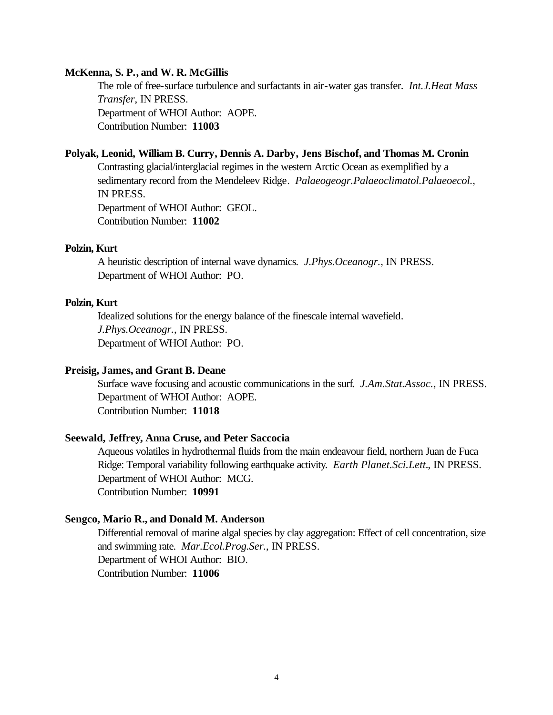#### **McKenna, S. P., and W. R. McGillis**

The role of free-surface turbulence and surfactants in air-water gas transfer. *Int.J.Heat Mass Transfer*, IN PRESS. Department of WHOI Author: AOPE. Contribution Number: **11003**

#### **Polyak, Leonid, William B. Curry, Dennis A. Darby, Jens Bischof, and Thomas M. Cronin**

Contrasting glacial/interglacial regimes in the western Arctic Ocean as exemplified by a sedimentary record from the Mendeleev Ridge. *Palaeogeogr.Palaeoclimatol.Palaeoecol.*, IN PRESS. Department of WHOI Author: GEOL.

Contribution Number: **11002**

#### **Polzin, Kurt**

A heuristic description of internal wave dynamics. *J.Phys.Oceanogr.*, IN PRESS. Department of WHOI Author: PO.

#### **Polzin, Kurt**

Idealized solutions for the energy balance of the finescale internal wavefield. *J.Phys.Oceanogr.*, IN PRESS. Department of WHOI Author: PO.

#### **Preisig, James, and Grant B. Deane**

Surface wave focusing and acoustic communications in the surf. *J.Am.Stat.Assoc.*, IN PRESS. Department of WHOI Author: AOPE. Contribution Number: **11018**

#### **Seewald, Jeffrey, Anna Cruse, and Peter Saccocia**

Aqueous volatiles in hydrothermal fluids from the main endeavour field, northern Juan de Fuca Ridge: Temporal variability following earthquake activity. *Earth Planet.Sci.Lett.*, IN PRESS. Department of WHOI Author: MCG. Contribution Number: **10991**

#### **Sengco, Mario R., and Donald M. Anderson**

Differential removal of marine algal species by clay aggregation: Effect of cell concentration, size and swimming rate. *Mar.Ecol.Prog.Ser.*, IN PRESS. Department of WHOI Author: BIO. Contribution Number: **11006**